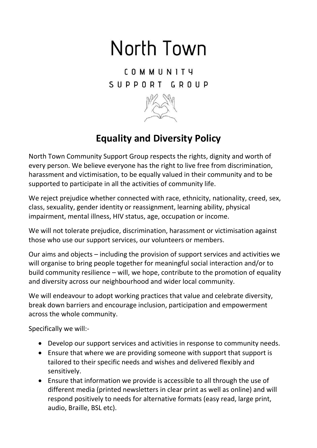## North Town

**COMMUNITY** SUPPORT GROUP



## **Equality and Diversity Policy**

North Town Community Support Group respects the rights, dignity and worth of every person. We believe everyone has the right to live free from discrimination, harassment and victimisation, to be equally valued in their community and to be supported to participate in all the activities of community life.

We reject prejudice whether connected with race, ethnicity, nationality, creed, sex, class, sexuality, gender identity or reassignment, learning ability, physical impairment, mental illness, HIV status, age, occupation or income.

We will not tolerate prejudice, discrimination, harassment or victimisation against those who use our support services, our volunteers or members.

Our aims and objects – including the provision of support services and activities we will organise to bring people together for meaningful social interaction and/or to build community resilience – will, we hope, contribute to the promotion of equality and diversity across our neighbourhood and wider local community.

We will endeavour to adopt working practices that value and celebrate diversity, break down barriers and encourage inclusion, participation and empowerment across the whole community.

Specifically we will:-

- Develop our support services and activities in response to community needs.
- Ensure that where we are providing someone with support that support is tailored to their specific needs and wishes and delivered flexibly and sensitively.
- Ensure that information we provide is accessible to all through the use of different media (printed newsletters in clear print as well as online) and will respond positively to needs for alternative formats (easy read, large print, audio, Braille, BSL etc).